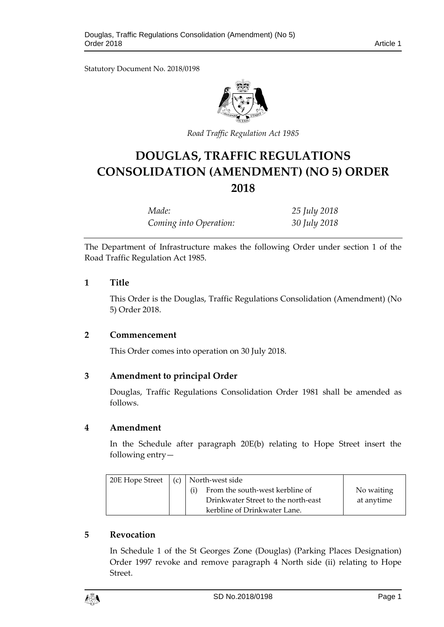Statutory Document No. 2018/0198



*Road Traffic Regulation Act 1985*

# **DOUGLAS, TRAFFIC REGULATIONS CONSOLIDATION (AMENDMENT) (NO 5) ORDER 2018**

| Made:                  | 25 July 2018 |
|------------------------|--------------|
| Coming into Operation: | 30 July 2018 |

The Department of Infrastructure makes the following Order under section 1 of the Road Traffic Regulation Act 1985.

## **1 Title**

This Order is the Douglas, Traffic Regulations Consolidation (Amendment) (No 5) Order 2018.

# **2 Commencement**

This Order comes into operation on 30 July 2018.

# **3 Amendment to principal Order**

Douglas, Traffic Regulations Consolidation Order 1981 shall be amended as follows.

#### **4 Amendment**

In the Schedule after paragraph 20E(b) relating to Hope Street insert the following entry—

| 20E Hope Street | (c)   North-west side                  |            |
|-----------------|----------------------------------------|------------|
|                 | From the south-west kerbline of<br>(i) | No waiting |
|                 | Drinkwater Street to the north-east    | at anytime |
|                 | kerbline of Drinkwater Lane.           |            |

# **5 Revocation**

In Schedule 1 of the St Georges Zone (Douglas) (Parking Places Designation) Order 1997 revoke and remove paragraph 4 North side (ii) relating to Hope Street.

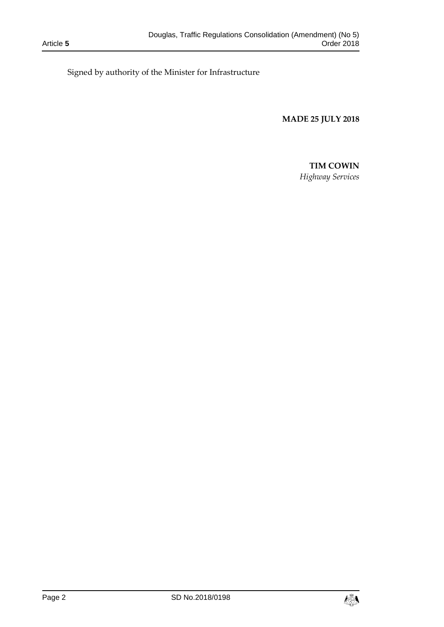Signed by authority of the Minister for Infrastructure

**MADE 25 JULY 2018**

## **TIM COWIN**

*Highway Services*